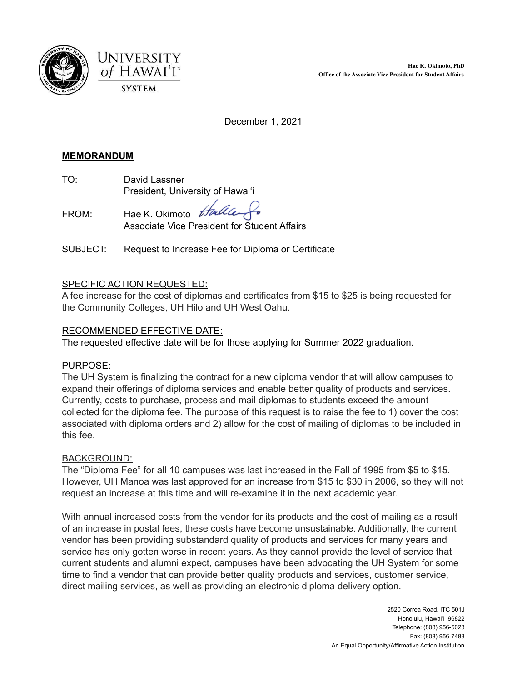



December 1, 2021

## **MEMORANDUM**

TO: David Lassner President, University of Hawai'i

FROM: Hae K. Okimoto *Huller* Associate Vice President for Student Affairs

SUBJECT: Request to Increase Fee for Diploma or Certificate

# SPECIFIC ACTION REQUESTED:

A fee increase for the cost of diplomas and certificates from \$15 to \$25 is being requested for the Community Colleges, UH Hilo and UH West Oahu.

### RECOMMENDED EFFECTIVE DATE:

The requested effective date will be for those applying for Summer 2022 graduation.

### PURPOSE:

The UH System is finalizing the contract for a new diploma vendor that will allow campuses to expand their offerings of diploma services and enable better quality of products and services. Currently, costs to purchase, process and mail diplomas to students exceed the amount collected for the diploma fee. The purpose of this request is to raise the fee to 1) cover the cost associated with diploma orders and 2) allow for the cost of mailing of diplomas to be included in this fee.

### BACKGROUND:

The "Diploma Fee" for all 10 campuses was last increased in the Fall of 1995 from \$5 to \$15. However, UH Manoa was last approved for an increase from \$15 to \$30 in 2006, so they will not request an increase at this time and will re-examine it in the next academic year.

With annual increased costs from the vendor for its products and the cost of mailing as a result of an increase in postal fees, these costs have become unsustainable. Additionally, the current vendor has been providing substandard quality of products and services for many years and service has only gotten worse in recent years. As they cannot provide the level of service that current students and alumni expect, campuses have been advocating the UH System for some time to find a vendor that can provide better quality products and services, customer service, direct mailing services, as well as providing an electronic diploma delivery option.